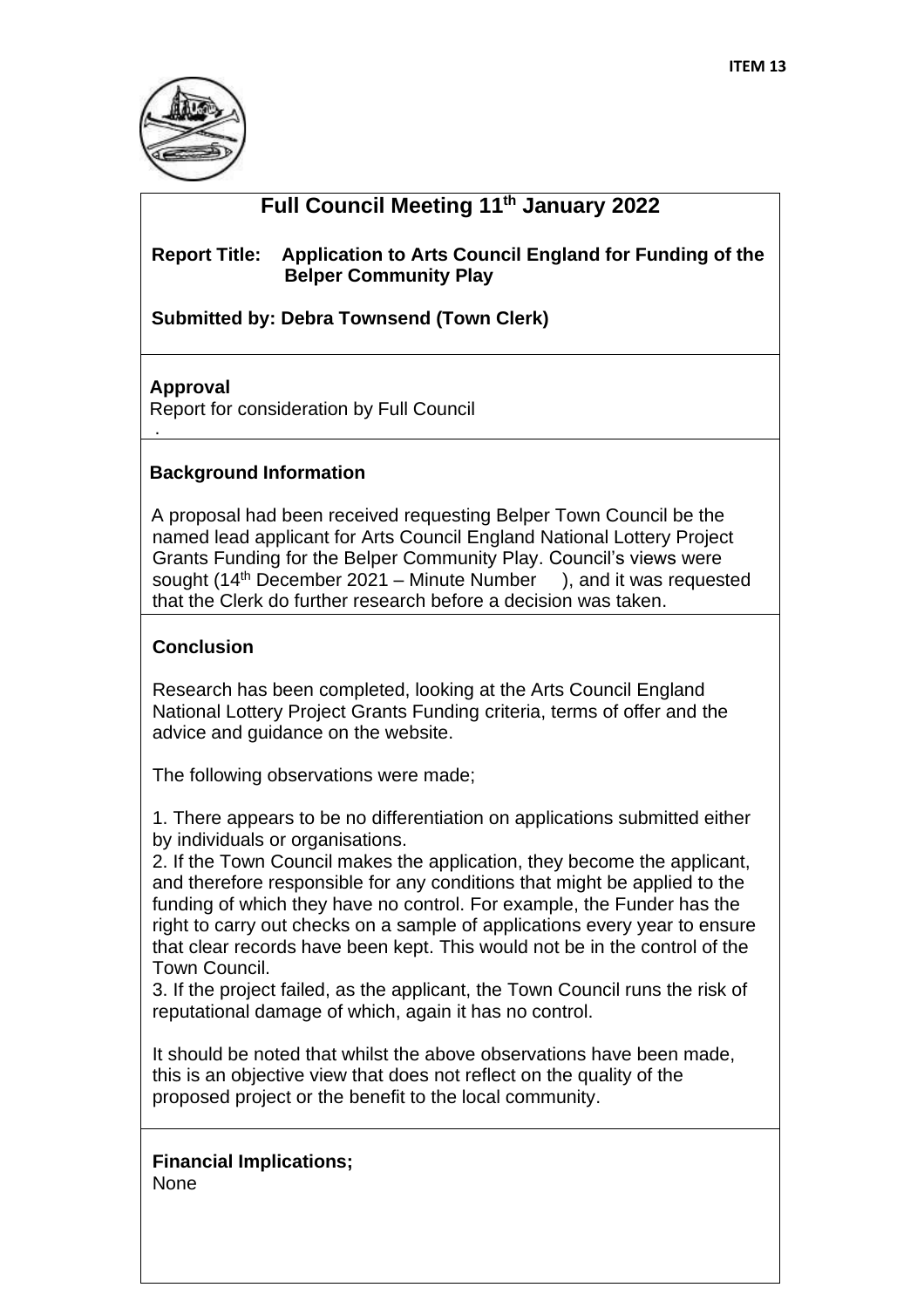

# **Full Council Meeting 11th January 2022**

### **Report Title: Application to Arts Council England for Funding of the Belper Community Play**

 **Submitted by: Debra Townsend (Town Clerk)** 

### **Approval**

.

Report for consideration by Full Council

## **Background Information**

A proposal had been received requesting Belper Town Council be the named lead applicant for Arts Council England National Lottery Project Grants Funding for the Belper Community Play. Council's views were sought (14<sup>th</sup> December 2021 – Minute Number ), and it was requested that the Clerk do further research before a decision was taken.

### **Conclusion**

Research has been completed, looking at the Arts Council England National Lottery Project Grants Funding criteria, terms of offer and the advice and guidance on the website.

The following observations were made;

1. There appears to be no differentiation on applications submitted either by individuals or organisations.

2. If the Town Council makes the application, they become the applicant, and therefore responsible for any conditions that might be applied to the funding of which they have no control. For example, the Funder has the right to carry out checks on a sample of applications every year to ensure that clear records have been kept. This would not be in the control of the Town Council.

3. If the project failed, as the applicant, the Town Council runs the risk of reputational damage of which, again it has no control.

It should be noted that whilst the above observations have been made, this is an objective view that does not reflect on the quality of the proposed project or the benefit to the local community.

**Financial Implications;** None